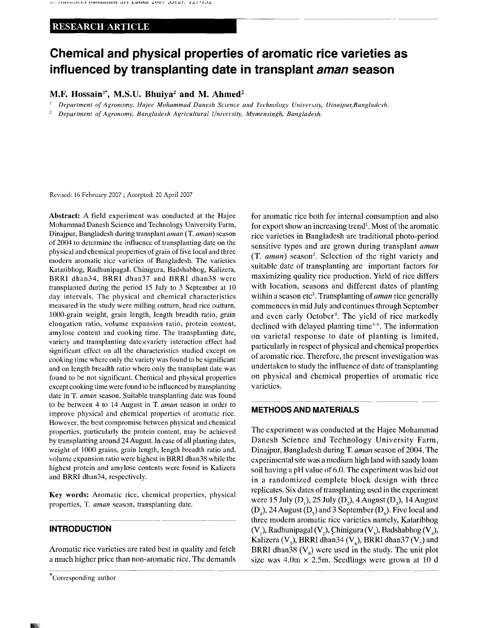## RESEARCH ARTICLE

# **Chemical and physical properties of aromatic rice varieties as influenced by transplanting date in transplant aman season**

M.F. Hossain<sup>1\*</sup>, M.S.U. Bhuiya<sup>2</sup> and M. Ahmed<sup>2</sup>

- ;  *Department of Agronomy, Hajee Mohammad Danesh Science and Technology University, Dinajpur,Bangladesh.*
- *2 Department of Agronomy, Bangladesh Agricultural University, Mymensingh, Bangladesh.*

Revised: 16 February 2007 ; Accepted: 20 April 2007

Abstract: A field experiment was conducted at the Hajee Mohammad Danesh Science and Technology University Farm, Dinajpur, Bangladesh during transplant *aman* (T. *aman)* season of 2004 to determine the influence of transplanting date on the physical and chemical properties of grain of five local and three modern aromatic rice varieties of Bangladesh. The varieties Kataribhog, Radhunipagal, Chinigura, Badshabhog, Kalizera, BRRI dhan34, BRRI dhan37 and BRRI dhan38 were transplanted during the period 15 July to 3 September at 10 day intervals. The physical and chemical characteristics measured in the study were milling outturn, head rice outturn, 1000-grain weight, grain length, length breadth ratio, grain elongation ratio, volume expansion ratio, protein content, amylose content and cooking time. The transplanting date, variety and transplanting datexvariety interaction effect had significant effect on all the characteristics studied except on cooking time where only the variety was found to be significant and on length breadth ratio where only the transplant date was found to be not significant. Chemical and physical properties except cooking time were found to be influenced by transplanting date in T. *aman* season. Suitable transplanting date was found to be between 4 to 14 August in T. *aman* season in order to improve physical and chemical properties of aromatic rice. However, the best compromise between physical and chemical properties, particularly the protein content, may be achieved by transplanting around 24 August. In case of all planting dates, weight of 1000 grains, grain length, length breadth ratio and, volume expansion ratio were highest in BRRI dhan38 while the highest protein and amylose contents were found in Kalizera and BRRI dhan34, respectively.

Key words: Aromatic rice, chemical properties, physical properties, T. *aman* season, transplanting date.

### **INTRODUCTION**

Aromatic rice varieties are rated best in quality and fetch a much higher price than non-aromatic rice. The demands for aromatic rice both for internal consumption and also for export show an increasing trend<sup>1</sup>. Most of the aromatic rice varieties in Bangladesh are traditional photo-period sensitive types and are grown during transplant *aman*  (T. *aman)* season<sup>2</sup> . Selection of the right variety and suitable date of transplanting are important factors for maximizing quality rice production. Yield of rice differs with location, seasons and different dates of planting within a season etc<sup>3</sup>. Transplanting of *aman* rice generally commences in mid July and continues through September and even early October<sup>4</sup>. The vield of rice markedly declined with delayed planting time<sup>5-6</sup>. The information on varietal response to date of planting is limited, particularly in respect of physical and chemical properties of aromatic rice. Therefore, the present investigation was undertaken to study the influence of date of transplanting on physical and chemical properties of aromatic rice varieties.

### **METHODS AND MATERIALS**

The experiment was conducted at the Hajee Mohammad Danesh Science and Technology University Farm, Dinajpur, Bangladesh during T. *aman* season of 2004. The experimental site was a medium high land with sandy loam soil having a pH value of 6.0. The experiment was laid out in a randomized complete block design with three replicates. Six dates of transplanting used in the experiment were 15 July (D,), 25 July (D,), 4 August (D,), 14 August  $(D_4)$ , 24 August  $(D_5)$  and 3 September  $(D_6)$ . Five local and three modern aromatic rice varieties namely, Kataribhog  $(V_1)$ , Radhunipagal  $(V_2)$ , Chinigura  $(V_3)$ , Badshabhog  $(V_4)$ , Kalizera  $(V_5)$ , BRRI dhan34  $(V_6)$ , BRRI dhan37  $(V_7)$  and BRRI dhan38  $(V_0)$  were used in the study. The unit plot size was  $4.0m \times 2.5m$ . Seedlings were grown at 10 d

Corresponding author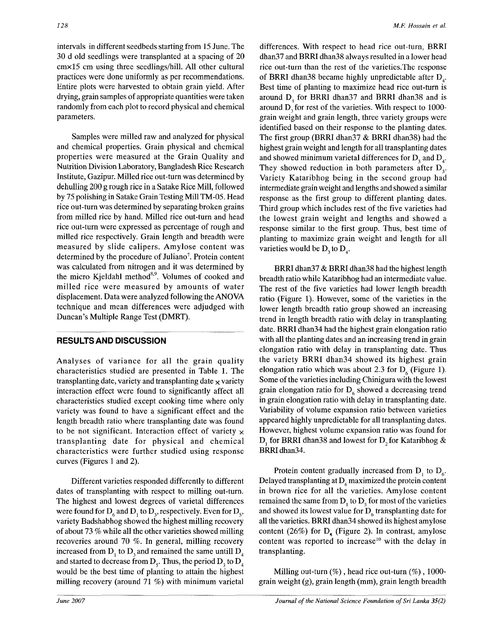intervals in different seedbeds starting from 15 June. The 30 d old seedlings were transplanted at a spacing of 20 cmxl5 cm using three seedlings/hill. All other cultural practices were done uniformly as per recommendations. Entire plots were harvested to obtain grain yield. After drying, grain samples of appropriate quantities were taken randomly from each plot to record physical and chemical parameters.

Samples were milled raw and analyzed for physical and chemical properties. Grain physical and chemical properties were measured at the Grain Quality and Nutrition Division Laboratory, Bangladesh Rice Research Institute, Gazipur. Milled rice out-turn was determined by dehulling 200 g rough rice in a Satake Rice Mill, followed by 75 polishing in Satake Grain Testing Mill TM-05. Head rice out-turn was determined by separating broken grains from milled rice by hand. Milled rice out-turn and head rice out-turn were expressed as percentage of rough and milled rice respectively. Grain length and breadth were measured by slide calipers. Amylose content was determined by the procedure of Juliano<sup>7</sup>. Protein content was calculated from nitrogen and it was determined by the micro Kjeldahl method<sup>8,9</sup>. Volumes of cooked and milled rice were measured by amounts of water displacement. Data were analyzed following the ANOVA technique and mean differences were adjudged with Duncan's Multiple Range Test (DMRT).

### **RESULTS AND DISCUSSION**

Analyses of variance for all the grain quality characteristics studied are presented in Table 1. The transplanting date, variety and transplanting date  $\times$  variety interaction effect were found to significantly affect all characteristics studied except cooking time where only variety was found to have a significant effect and the length breadth ratio where transplanting date was found to be not significant. Interaction effect of variety  $\times$ transplanting date for physical and chemical characteristics were further studied using response curves (Figures 1 and 2).

Different varieties responded differently to different dates of transplanting with respect to milling out-turn. The highest and lowest degrees of varietal differences were found for  $D_6$  and  $D_1$  to  $D_3$ , respectively. Even for  $D_5$ , variety Badshabhog showed the highest milling recovery of about 73 % while all the other varieties showed milling recoveries around 70 %. In general, milling recovery increased from  $D_1$  to  $D_3$  and remained the same untill  $D_4$ and started to decrease from D<sub>5</sub>. Thus, the period  $D_1$  to  $D_4$ would be the best time of planting to attain the highest milling recovery (around 71 %) with minimum varietal

differences. With respect to head rice out-turn, BRRI dhan37 and BRRI dhan38 always resulted in a lower head rice out-turn than the rest of the varieties.The response of BRRI dhan38 became highly unpredictable after D. Best time of planting to maximize head rice out-turn is around  $D<sub>a</sub>$  for BRRI dhan37 and BRRI dhan38 and is around D<sub>3</sub> for rest of the varieties. With respect to 1000grain weight and grain length, three variety groups were identified based on their response to the planting dates. The first group (BRRI dhan37 & BRRI dhan38) had the highest grain weight and length for all transplanting dates and showed minimum varietal differences for  $D<sub>2</sub>$  and  $D<sub>4</sub>$ . They showed reduction in both parameters after  $D_{3}$ . Variety Kataribhog being in the second group had intermediate grain weight and lengths and showed a similar response as the first group to different planting dates. Third group which includes rest of the five varieties had the lowest grain weight and lengths and showed a response similar to the first group. Thus, best time of planting to maximize grain weight and length for all varieties would be  $D_3$  to  $D_4$ .

BRRI dhan37 & BRRI dhan38 had the highest length breadth ratio while Kataribhog had an intermediate value. The rest of the five varieties had lower length breadth ratio (Figure 1). However, some of the varieties in the lower length breadth ratio group showed an increasing trend in length breadth ratio with delay in transplanting date. BRRI dhan34 had the highest grain elongation ratio with all the planting dates and an increasing trend in grain elongation ratio with delay in transplanting date. Thus the variety BRRI dhan34 showed its highest grain elongation ratio which was about 2.3 for  $D<sub>6</sub>$  (Figure 1). Some of the varieties including Chinigura with the lowest grain elongation ratio for  $D_{\epsilon}$  showed a decreasing trend in grain elongation ratio with delay in transplanting date. Variability of volume expansion ratio between varieties appeared highly unpredictable for all transplanting dates. However, highest volume expansion ratio was found for  $D_1$  for BRRI dhan38 and lowest for  $D_2$  for Kataribhog & BRRIdhan34.

Protein content gradually increased from  $D_1$  to  $D_6$ . Delayed transplanting at  $D_6$  maximized the protein content in brown rice for all the varieties. Amylose content remained the same from  $D_1$  to  $D_5$  for most of the varieties and showed its lowest value for  $D<sub>6</sub>$  transplanting date for all the varieties. BRRI dhan34 showed its highest amylose content (26%) for  $D_{\epsilon}$  (Figure 2). In contrast, amylose content was reported to increase<sup>10</sup> with the delay in transplanting.

Milling out-turn  $(\%)$ , head rice out-turn  $(\%)$ , 1000grain weight (g), grain length (mm), grain length breadth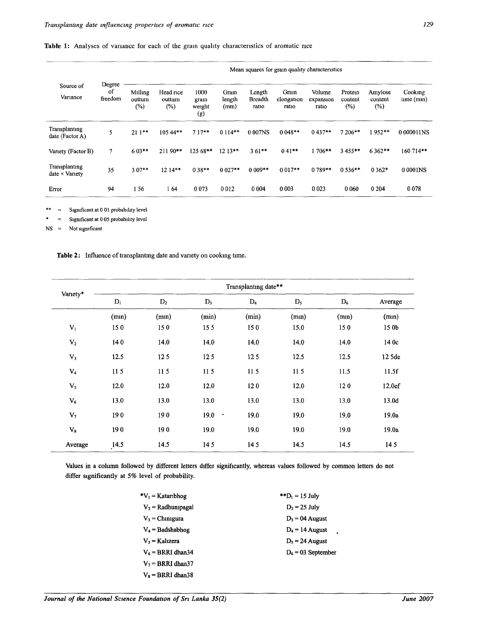|  |  |  |  |  |  |  |  |  |  | Table 1: Analyses of variance for each of the grain quality characteristics of aromatic rice |  |  |  |
|--|--|--|--|--|--|--|--|--|--|----------------------------------------------------------------------------------------------|--|--|--|
|--|--|--|--|--|--|--|--|--|--|----------------------------------------------------------------------------------------------|--|--|--|

|                                        |                         | Mean squares for grain quality characteristics |                                |                               |                         |                                   |                             |                              |                              |                           |                      |
|----------------------------------------|-------------------------|------------------------------------------------|--------------------------------|-------------------------------|-------------------------|-----------------------------------|-----------------------------|------------------------------|------------------------------|---------------------------|----------------------|
| Source of<br>Variance                  | Degree<br>οf<br>freedom | Miling<br>outturn<br>$(\%)$                    | Head rice<br>outturn<br>$(\%)$ | 1000<br>gram<br>weight<br>(g) | Grain<br>length<br>(mm) | Length<br><b>Breadth</b><br>ratio | Gram<br>elongation<br>ratio | Volume<br>expansion<br>ratio | Protein<br>content<br>$($ %) | Amylose<br>content<br>(%) | Cooking<br>time (mn) |
| Transplanting<br>date (Factor A)       | 5                       | $211**$                                        | 105 44**                       | $717**$                       | $0.114**$               | 0 007NS                           | $0.048**$                   | $0.437**$                    | 7 206**                      | $1952**$                  | 0 000011NS           |
| Variety (Factor B)                     | 7                       | $603**$                                        | 211 90**                       | $125.68**$                    | $12.13**$               | $3.61***$                         | $0.41**$                    | 1 706**                      | 3 455**                      | 6 3 6 2**                 | 160 714**            |
| Transplanting<br>$date \times Varletv$ | 35                      | $3.07**$                                       | 12 14**                        | $0.38**$                      | $0.027**$               | $0.009**$                         | $0.017**$                   | $0.789**$                    | $0.536**$                    | $0.362*$                  | 0 0001NS             |
| Error                                  | 94                      | 156                                            | 164                            | 0 0 7 3                       | 0012                    | 0 0 0 4                           | 0 0 0 3                     | 0 0 2 3                      | 0 0 6 0                      | 0 2 0 4                   | 0078                 |

\*\* = Significant at 0 01 probability level

\* = Significant at 0 05 probability level

NS = Not significant

**Table 2: Influence of transplanting date and variety on cooking time.** 

|                | Transplanting date** |                |                   |                 |       |       |         |  |  |  |  |
|----------------|----------------------|----------------|-------------------|-----------------|-------|-------|---------|--|--|--|--|
| Variety*       | $\mathbf{D}_1$       | D <sub>2</sub> | $D_3$             | $D_4$           | $D_5$ | $D_6$ | Average |  |  |  |  |
|                | (mn)                 | (mn)           | (min)             | (min)           | (mn)  | (mn)  | (mn)    |  |  |  |  |
| $\mathbf{V}_1$ | 150                  | 150            | 155               | 150             | 15.0  | 150   | 15 0b   |  |  |  |  |
| $\mathbf{V}_2$ | 140                  | 14.0           | 14,0              | 14.0            | 14.0  | 14.0  | 14 0c   |  |  |  |  |
| $V_3$          | 12.5                 | 125            | 12 <sub>5</sub>   | 12 <sub>5</sub> | 12.5  | 12.5  | 12 5de  |  |  |  |  |
| $\mathbf{V}_4$ | 115                  | 115            | 115               | 11 <sub>5</sub> | 115   | 11.5  | 11.5f   |  |  |  |  |
| $V_5$          | 12.0                 | 12.0           | 12.0              | 120             | 12.0  | 120   | 12.0ef  |  |  |  |  |
| $V_6$          | 13.0                 | 13.0           | 13.0              | 13.0            | 13.0  | 13.0  | 13.0d   |  |  |  |  |
| $V_7$          | 190                  | 190            | 19.0<br>$\bullet$ | 19.0            | 19.0  | 19.0  | 19.0a   |  |  |  |  |
| $\mathbf{V}_8$ | 190                  | 190            | 19.0              | 19.0            | 19.0  | 19.0  | 19.0a   |  |  |  |  |
| Average        | 14.5                 | 14.5           | 145               | 145             | 14.5  | 14.5  | 145     |  |  |  |  |

**Values in a column followed by different letters differ significantly, whereas values followed by common letters do not differ significantly at** *5%* **level of probability.** 

| $\mathbf{v}_1 =$ Kataribhog | ** $D_1 = 15$ July   |
|-----------------------------|----------------------|
| $V_2$ = Radhunipagal        | $D_2 = 25$ July      |
| $V_3$ = Chinigura           | $D_3 = 04$ August    |
| $V_4 =$ Badshabhog          | $D_4$ = 14 August    |
| $V_5$ = Kalizera            | $D_5 = 24$ August    |
| $V_6$ = BRRI dhan34         | $D_6 = 03$ September |
| $V_7$ = BRRI dhan 37        |                      |
| $V_8$ = BRRI dhan38         |                      |

*Journal of the National Science Foundation of Sri Lanka 35(2) June 2007*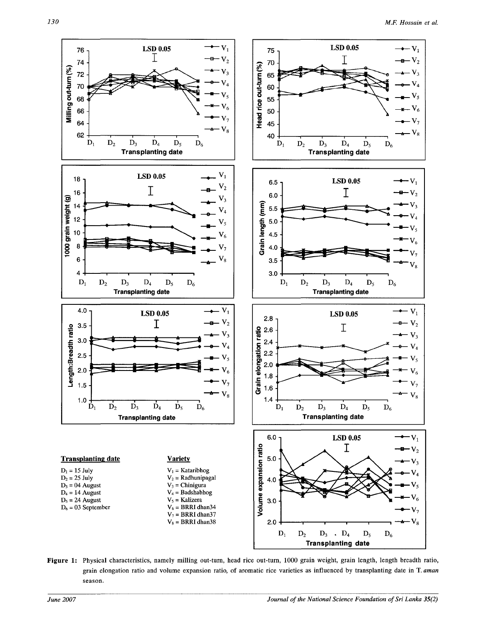

**Figure 1:** Physical characteristics, namely milling out-turn, head rice out-turn, 1000 grain weight, grain length, length breadth ratio, grain elongation ratio and volume expansion ratio, of aromatic rice varieties as influenced by transplanting date in T. *aman*  season.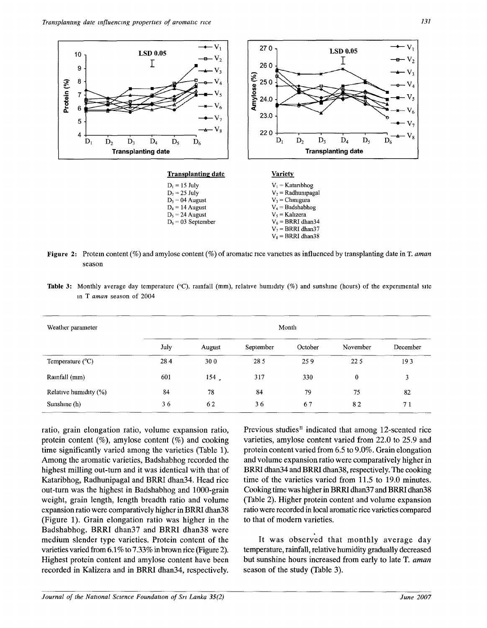

**Figure** 2: Protein content (%) and amylose content (%) of aromatic rice varieties as influenced by transplanting date in T. *aman* season

Table 3: Monthly average day temperature (°C), rainfall (mm), relative humidity (%) and sunshine (hours) of the experimental site in T *aman* season of 2004

| Weather parameter         | Month |        |           |         |          |                |  |  |
|---------------------------|-------|--------|-----------|---------|----------|----------------|--|--|
|                           | July  | August | September | October | November | December       |  |  |
| Temperature $(^{\circ}C)$ | 284   | 300    | 28 5      | 259     | 225      | 193            |  |  |
| Rainfall (mm)             | 601   | 154.   | 317       | 330     | $\bf{0}$ | 3              |  |  |
| Relative humidity (%)     | 84    | 78     | 84        | 79      | 75       | 82             |  |  |
| Sunshine (h)              | 36    | 62     | 36        | 67      | 82       | 7 <sub>1</sub> |  |  |

ratio, grain elongation ratio, volume expansion ratio, protein content  $(\%)$ , amylose content  $(\%)$  and cooking time significantly varied among the varieties (Table 1). Among the aromatic varieties, Badshabhog recorded the highest milling out-turn and it was identical with that of Kataribhog, Radhunipagal and BRRI dhan34. Head rice out-turn was the highest in Badshabhog and 1000-grain weight, grain length, length breadth ratio and volume expansion ratio were comparatively higher in BRRI dhan38 (Figure 1). Grain elongation ratio was higher in the Badshabhog. BRRI dhan37 and BRRI dhan38 were medium slender type varieties. Protein content of the varieties varied from 6.1% to 7.33% in brown rice (Figure 2). Highest protein content and amylose content have been recorded in Kalizera and in BRRI dhan34, respectively.

Previous studies<sup>11</sup> indicated that among 12-scented rice varieties, amylose content varied from 22.0 to 25.9 and protein content varied from *6.5* to 9.0%. Grain elongation and volume expansion ratio were comparatively higher in BRRI dhan34 and BRRI dhan38, respectively. The cooking time of the varieties varied from 11.5 to 19.0 minutes. Cooking time was higher in BRRI dhan37 and BRRI dhan38 (Table 2). Higher protein content and volume expansion ratio were recorded in local aromatic rice varieties compared to that of modern varieties.

It was observed that monthly average day temperature, rainfall, relative humidity gradually decreased but sunshine hours increased from early to late T *aman*  season of the study (Table 3).